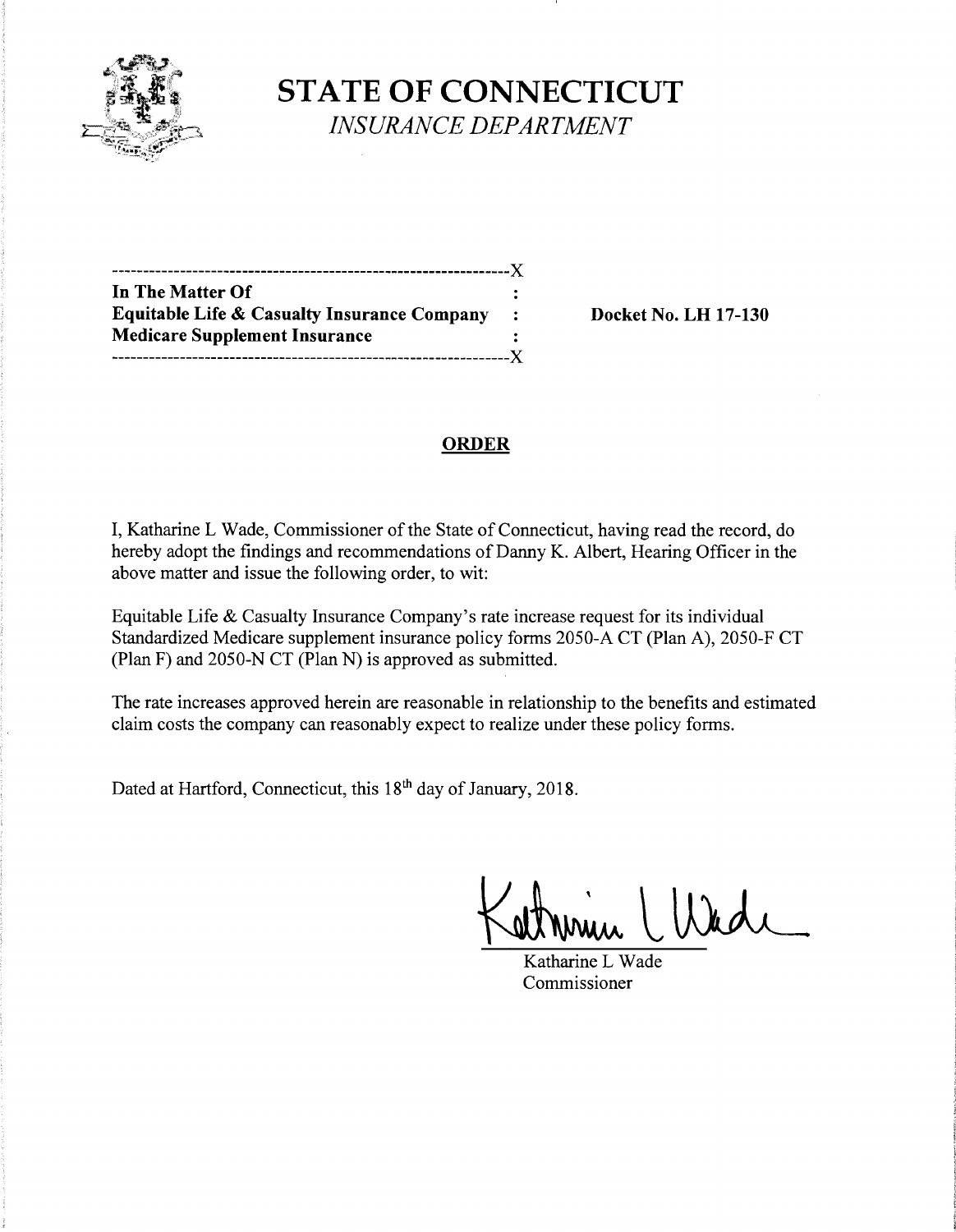

**STATE OF CONNECTICUT** *INSURANCE DEPARTMENT* 

----------------------------------------------------------------)( **In The Matter Of Equitable Life & Casualty Insurance Company : Docket No. LH 17-130 Medicare Supplement Insurance**  ----------------------------------------------------------------)(

# **ORDER**

I, Katharine L Wade, Commissioner of the State of Connecticut, having read the record, do hereby adopt the findings and recommendations of Danny K. Albert, Hearing Officer in the above matter and issue the following order, to wit:

Equitable Life & Casualty Insurance Company's rate increase request for its individual Standardized Medicare supplement insurance policy forms 2050-A CT (Plan A), 2050-F CT (Plan F) and 2050-N CT (Plan N) is approved as submitted.

The rate increases approved herein are reasonable in relationship to the benefits and estimated claim costs the company can reasonably expect to realize under these policy forms.

Dated at Hartford, Connecticut, this 18<sup>th</sup> day of January, 2018.

Katharine L Wade Commissioner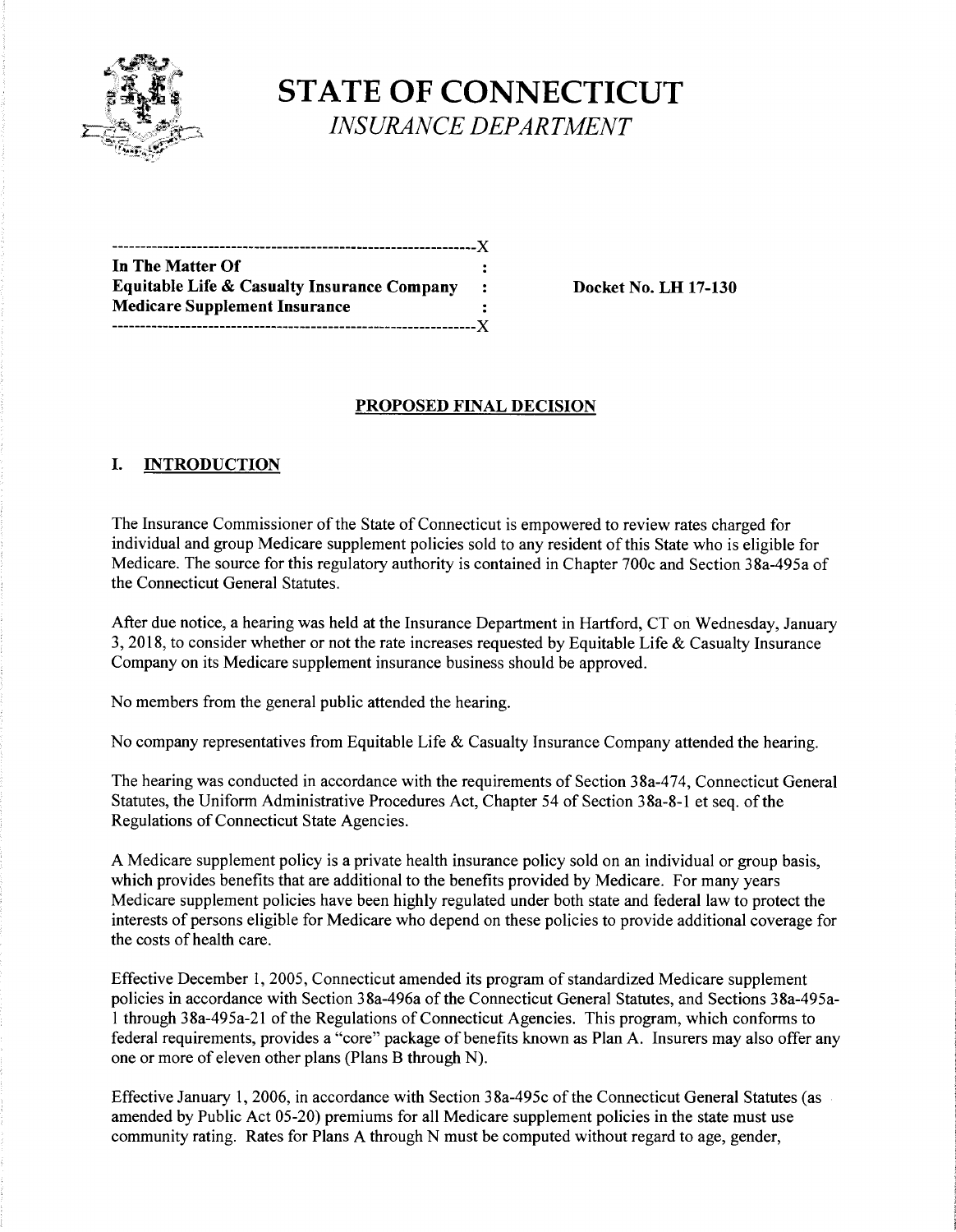

**STATE OF CONNECTICUT**  *INSURANCE DEPARTMENT* 

| -----------------------------------                    |  |
|--------------------------------------------------------|--|
| In The Matter Of                                       |  |
| <b>Equitable Life &amp; Casualty Insurance Company</b> |  |
| <b>Medicare Supplement Insurance</b>                   |  |
|                                                        |  |

**Example 20 Ext** No. LH 17-130

## **PROPOSED FINAL DECISION**

## **I. INTRODUCTION**

The Insurance Commissioner of the State of Connecticut is empowered to review rates charged for individual and group Medicare supplement policies sold to any resident of this State who is eligible for Medicare. The source for this regulatory authority is contained in Chapter 700c and Section 38a-495a of the Connecticut General Statutes.

After due notice, a hearing was held at the Insurance Department in Hartford, CT on Wednesday, January 3, 2018, to consider whether or not the rate increases requested by Equitable Life & Casualty Insurance Company on its Medicare supplement insurance business should be approved.

No members from the general public attended the hearing.

No company representatives from Equitable Life & Casualty Insurance Company attended the hearing.

The hearing was conducted in accordance with the requirements of Section 38a-474, Connecticut General Statutes, the Uniform Administrative Procedures Act, Chapter 54 of Section 38a-8-1 et seq. of the Regulations of Connecticut State Agencies.

A Medicare supplement policy is a private health insurance policy sold on an individual or group basis, which provides benefits that are additional to the benefits provided by Medicare. For many years Medicare supplement policies have been highly regulated under both state and federal law to protect the interests of persons eligible for Medicare who depend on these policies to provide additional coverage for the costs of health care.

Effective December 1, 2005, Connecticut amended its program of standardized Medicare supplement policies in accordance with Section 38a-496a of the Connecticut General Statutes, and Sections 38a-495al through 38a-495a-21 ofthe Regulations of Connecticut Agencies. This program, which conforms to federal requirements, provides a "core" package of benefits known as Plan A. Insurers may also offer any one or more of eleven other plans (Plans B through N).

Effective January 1, 2006, in accordance with Section 38a-495c of the Connecticut General Statutes (as amended by Public Act 05-20) premiums for all Medicare supplement policies in the state must use community rating. Rates for Plans A through N must be computed without regard to age, gender,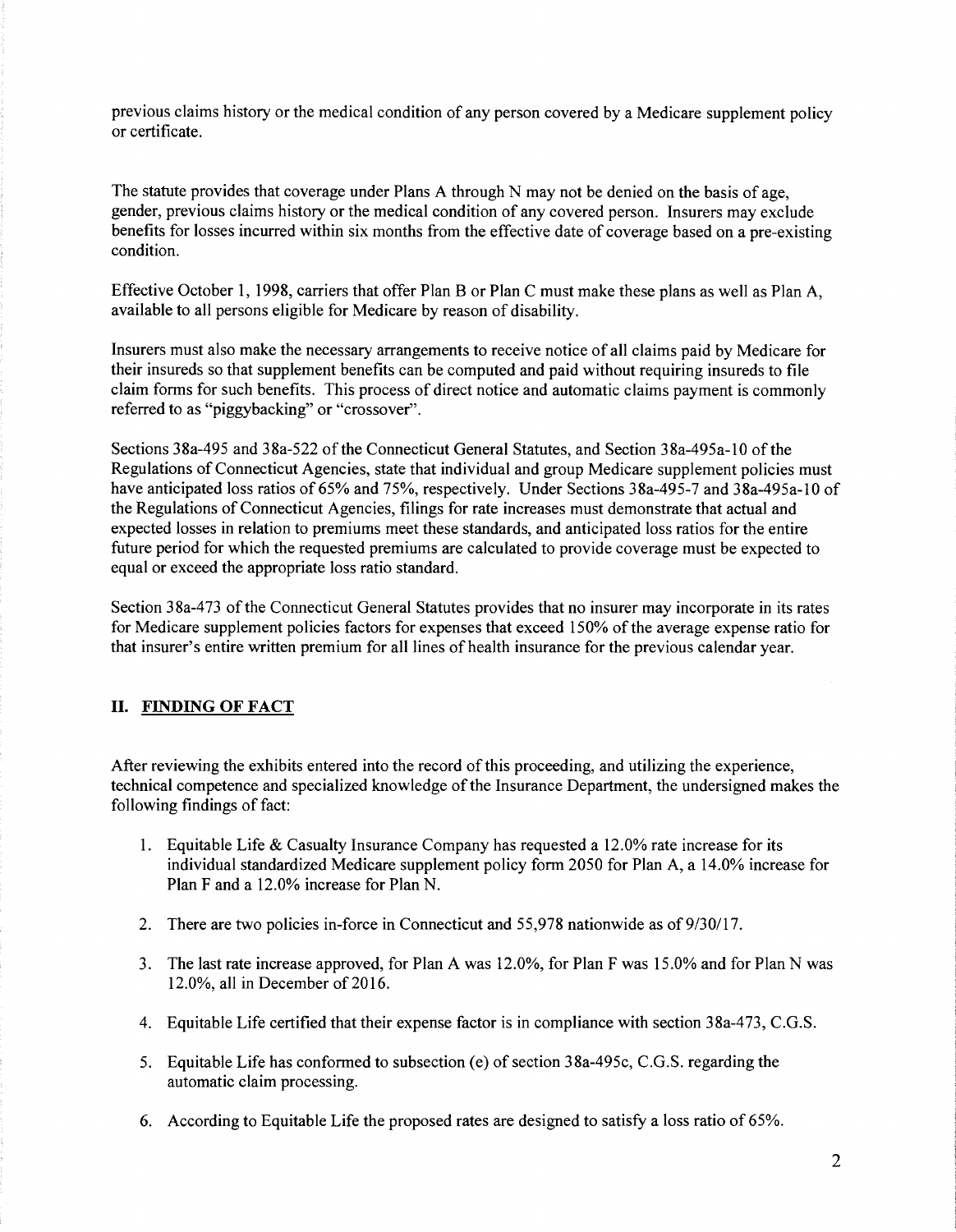previous claims history or the medical condition of any person covered by a Medicare supplement policy or certificate.

The statute provides that coverage under Plans A through N may not be denied on the basis of age, gender, previous claims history or the medical condition of any covered person. Insurers may exclude benefits for losses incurred within six months from the effective date of coverage based on a pre-existing condition.

Effective October 1, 1998, carriers that offer Plan B or Plan C must make these plans as well as Plan A, available to all persons eligible for Medicare by reason of disability.

Insurers must also make the necessary arrangements to receive notice of all claims paid by Medicare for their insureds so that supplement benefits can be computed and paid without requiring insureds to file claim forms for such benefits. This process of direct notice and automatic claims payment is commonly referred to as "piggybacking" or "crossover".

Sections 38a-495 and 38a-522 of the Connecticut General Statutes, and Section 38a-495a-10 of the Regulations of Connecticut Agencies, state that individual and group Medicare supplement policies must have anticipated loss ratios of 65% and 75%, respectively. Under Sections 38a-495-7 and 38a-495a-10 of the Regulations of Connecticut Agencies, filings for rate increases must demonstrate that actual and expected losses in relation to premiums meet these standards, and anticipated loss ratios for the entire future period for which the requested premiums are calculated to provide coverage must be expected to equal or exceed the appropriate loss ratio standard.

Section 38a-473 of the Connecticut General Statutes provides that no insurer may incorporate in its rates for Medicare supplement policies factors for expenses that exceed 150% of the average expense ratio for that insurer's entire written premium for all lines of health insurance for the previous calendar year.

#### II. **FINDING OF FACT**

After reviewing the exhibits entered into the record of this proceeding, and utilizing the experience, technical competence and specialized knowledge ofthe Insurance Department, the undersigned makes the following findings of fact:

- 1. Equitable Life & Casualty Insurance Company has requested a 12.0% rate increase for its individual standardized Medicare supplement policy form 2050 for Plan A, a 14.0% increase for Plan F and a 12.0% increase for Plan N.
- 2. There are two policies in-force in Connecticut and 55,978 nationwide as of 9/30/17.
- 3. The last rate increase approved, for Plan A was 12.0%, for Plan F was 15.0% and for Plan N was 12.0%, all in December of 2016.
- 4. Equitable Life certified that their expense factor is in compliance with section 38a-473, C.G.S.
- 5. Equitable Life has conformed to subsection (e) of section 38a-495c, C.G.S. regarding the automatic claim processing.
- 6. According to Equitable Life the proposed rates are designed to satisfy a loss ratio of 65%.